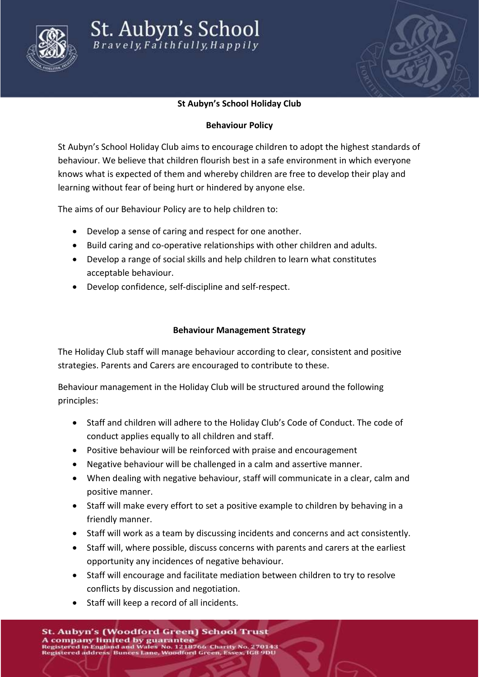



## **St Aubyn's School Holiday Club**

## **Behaviour Policy**

St Aubyn's School Holiday Club aims to encourage children to adopt the highest standards of behaviour. We believe that children flourish best in a safe environment in which everyone knows what is expected of them and whereby children are free to develop their play and learning without fear of being hurt or hindered by anyone else.

The aims of our Behaviour Policy are to help children to:

- Develop a sense of caring and respect for one another.
- Build caring and co-operative relationships with other children and adults.
- Develop a range of social skills and help children to learn what constitutes acceptable behaviour.
- Develop confidence, self-discipline and self-respect.

## **Behaviour Management Strategy**

The Holiday Club staff will manage behaviour according to clear, consistent and positive strategies. Parents and Carers are encouraged to contribute to these.

Behaviour management in the Holiday Club will be structured around the following principles:

- Staff and children will adhere to the Holiday Club's Code of Conduct. The code of conduct applies equally to all children and staff.
- Positive behaviour will be reinforced with praise and encouragement
- Negative behaviour will be challenged in a calm and assertive manner.
- When dealing with negative behaviour, staff will communicate in a clear, calm and positive manner.
- Staff will make every effort to set a positive example to children by behaving in a friendly manner.
- Staff will work as a team by discussing incidents and concerns and act consistently.
- Staff will, where possible, discuss concerns with parents and carers at the earliest opportunity any incidences of negative behaviour.
- Staff will encourage and facilitate mediation between children to try to resolve conflicts by discussion and negotiation.
- Staff will keep a record of all incidents.